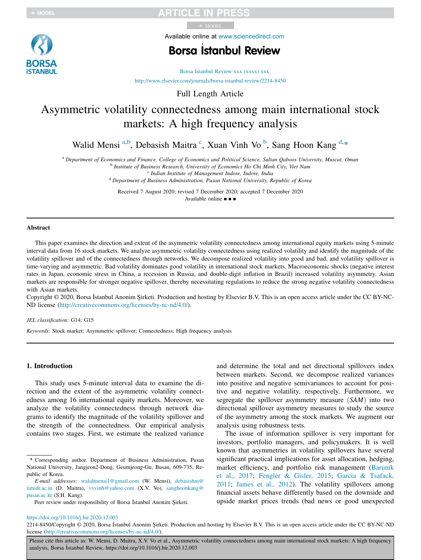Available online at www.sciencedirect.com

# Borsa \_ Istanbul Review

Borsa İstanbul Review xxx (xxxx) xxx http://www.elsevier.com/journals/borsa-istanbul-review/2214-8450

Full Length Article

# Asymmetric volatility connectedness among main international stock markets: A high frequency analysis

Walid Mensi<sup>a,b</sup>, Debasish Maitra<sup>c</sup>, Xuan Vinh Vo<sup>b</sup>, Sang Hoon Kang<sup>d,\*</sup>

<sup>a</sup> *Department of Economics and Finance, College of Economics and Political Science, Sultan Qaboos University, Muscat, Oman*

b *Institute of Business Research, University of Economics Ho Chi Minh City, Viet Nam*

c *Indian Institute of Management Indore, Indore, India*

<sup>d</sup> *Department of Business Administration, Pusan National University, Republic of Korea*

Received 7 August 2020; revised 7 December 2020; accepted 7 December 2020 Available online ■ ■ ■

### Abstract

This paper examines the direction and extent of the asymmetric volatility connectedness among international equity markets using 5-minute interval data from 16 stock markets. We analyze asymmetric volatility connectedness using realized volatility and identify the magnitude of the volatility spillover and of the connectedness through networks. We decompose realized volatility into good and bad, and volatility spillover is time-varying and asymmetric. Bad volatility dominates good volatility in international stock markets. Macroeconomic shocks (negative interest rates in Japan, economic stress in China, a recession in Russia, and double-digit inflation in Brazil) increased volatility asymmetry. Asian markets are responsible for stronger negative spillover, thereby necessitating regulations to reduce the strong negative volatility connectedness with Asian markets.

Copyright © 2020, Borsa Istanbul Anonim Şirketi. Production and hosting by Elsevier B.V. This is an open access article under the CC BY-NC-ND license (http://creativecommons.org/licenses/by-nc-nd/4.0/).

### *JEL classification:* G14; G15

*Keywords:* Stock market; Asymmetric spillover; Connectedness; High frequency analysis

### 1. Introduction

This study uses 5-minute interval data to examine the direction and the extent of the asymmetric volatility connectedness among 16 international equity markets. Moreover, we analyze the volatility connectedness through network diagrams to identify the magnitude of the volatility spillover and the strength of the connectedness. Our empirical analysis contains two stages. First, we estimate the realized variance

and determine the total and net directional spillovers index between markets. Second, we decompose realized variances into positive and negative semivariances to account for positive and negative volatility, respectively. Furthermore, we segregate the spillover asymmetry measure  $(SAM)$  into two directional spillover asymmetry measures to study the source of the asymmetry among the stock markets. We augment our analysis using robustness tests.

The issue of information spillover is very important for investors, portfolio managers, and policymakers. It is well known that asymmetries in volatility spillovers have several significant practical implications for asset allocation, hedging, market efficiency, and portfolio risk management (Baruník et al., 2017; Fengler & Gisler, 2015; Garcia & Tsafack, 2011; James et al., 2012). The volatility spillovers among financial assets behave differently based on the downside and upside market prices trends (bad news or good unexpected

https://doi.org/10.1016/j.bir.2020.12.003

Please cite this article as: W. Mensi, D. Maitra, X.V. Vo et al., Asymmetric volatility connectedness among main international stock markets: A high frequency analysis, Borsa İstanbul Review, https://doi.org/10.1016/j.bir.2020.12.003



<sup>\*</sup> Corresponding author. Department of Business Administration, Pusan National University, Jangjeon2-Dong, Geumjeong-Gu, Busan, 609-735, Republic of Korea.

*E-mail addresses:* walidmensi1@gmail.com (W. Mensi), debasishm@ iimidr.ac.in (D. Maitra), vxvinh@yahoo.com (X.V. Vo), sanghoonkang@ pusan.ac.kr (S.H. Kang).

Peer review under responsibility of Borsa Istanbul Anonim Sirketi.

<sup>2214-8450/</sup>Copyright © 2020, Borsa Istanbul Anonim Şirketi. Production and hosting by Elsevier B.V. This is an open access article under the CC BY-NC-ND license (http://creativecommons.org/licenses/by-nc-nd/4.0/).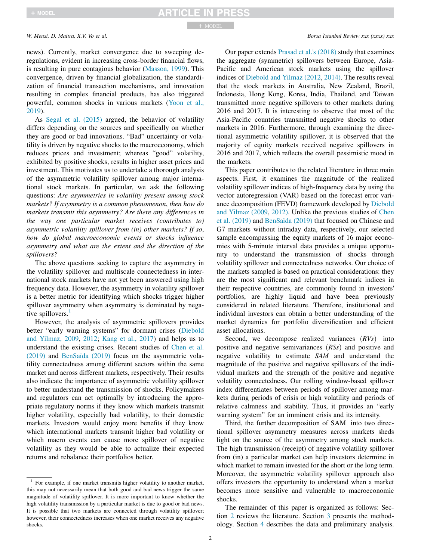news). Currently, market convergence due to sweeping deregulations, evident in increasing cross-border financial flows, is resulting in pure contagious behavior (Masson, 1999). This convergence, driven by financial globalization, the standardization of financial transaction mechanisms, and innovation resulting in complex financial products, has also triggered powerful, common shocks in various markets (Yoon et al., 2019).

As Segal et al. (2015) argued, the behavior of volatility differs depending on the sources and specifically on whether they are good or bad innovations. "Bad" uncertainty or volatility is driven by negative shocks to the macroeconomy, which reduces prices and investment; whereas "good" volatility, exhibited by positive shocks, results in higher asset prices and investment. This motivates us to undertake a thorough analysis of the asymmetric volatility spillover among major international stock markets. In particular, we ask the following questions: *Are asymmetries in volatility present among stock markets? If asymmetry is a common phenomenon*, *then how do markets transmit this asymmetry? Are there any differences in the way one particular market receives (contributes to) asymmetric volatility spillover from (in) other markets? If so*, *how do global macroeconomic events or shocks influence asymmetry and what are the extent and the direction of the spillovers?*

The above questions seeking to capture the asymmetry in the volatility spillover and multiscale connectedness in international stock markets have not yet been answered using high frequency data. However, the asymmetry in volatility spillover is a better metric for identifying which shocks trigger higher spillover asymmetry when asymmetry is dominated by negative spillovers. $<sup>1</sup>$ </sup>

However, the analysis of asymmetric spillovers provides better "early warning systems" for dormant crises (Diebold and Yilmaz, 2009, 2012; Kang et al., 2017) and helps us to understand the existing crises. Recent studies of Chen et al. (2019) and BenSaïda (2019) focus on the asymmetric volatility connectedness among different sectors within the same market and across different markets, respectively. Their results also indicate the importance of asymmetric volatility spillover to better understand the transmission of shocks. Policymakers and regulators can act optimally by introducing the appropriate regulatory norms if they know which markets transmit higher volatility, especially bad volatility, to their domestic markets. Investors would enjoy more benefits if they know which international markets transmit higher bad volatility or which macro events can cause more spillover of negative volatility as they would be able to actualize their expected returns and rebalance their portfolios better.

*W. Mensi, D. Maitra, X.V. Vo et al. Borsa istanbul Review xxx (xxxx) xxx* 

Our paper extends Prasad et al.'s (2018) study that examines the aggregate (symmetric) spillovers between Europe, Asia-Pacific and American stock markets using the spillover indices of Diebold and Yilmaz (2012, 2014). The results reveal that the stock markets in Australia, New Zealand, Brazil, Indonesia, Hong Kong, Korea, India, Thailand, and Taiwan transmitted more negative spillovers to other markets during 2016 and 2017. It is interesting to observe that most of the Asia-Pacific countries transmitted negative shocks to other markets in 2016. Furthermore, through examining the directional asymmetric volatility spillover, it is observed that the majority of equity markets received negative spillovers in 2016 and 2017, which reflects the overall pessimistic mood in the markets.

This paper contributes to the related literature in three main aspects. First, it examines the magnitude of the realized volatility spillover indices of high-frequency data by using the vector autoregression (VAR) based on the forecast error variance decomposition (FEVD) framework developed by Diebold and Yilmaz (2009, 2012). Unlike the previous studies of Chen et al. (2019) and BenSaïda (2019) that focused on Chinese and G7 markets without intraday data, respectively, our selected sample encompassing the equity markets of 16 major economies with 5-minute interval data provides a unique opportunity to understand the transmission of shocks through volatility spillover and connectedness networks. Our choice of the markets sampled is based on practical considerations: they are the most significant and relevant benchmark indices in their respective countries, are commonly found in investors' portfolios, are highly liquid and have been previously considered in related literature. Therefore, institutional and individual investors can obtain a better understanding of the market dynamics for portfolio diversification and efficient asset allocations.

Second, we decompose realized variances  $(RVs)$  into positive and negative semivariances (RSs) and positive and negative volatility to estimate *SAM* and understand the magnitude of the positive and negative spillovers of the individual markets and the strength of the positive and negative volatility connectedness. Our rolling window-based spillover index differentiates between periods of spillover among markets during periods of crisis or high volatility and periods of relative calmness and stability. Thus, it provides an "early warning system" for an imminent crisis and its intensity.

Third, the further decomposition of SAM into two directional spillover asymmetry measures across markets sheds light on the source of the asymmetry among stock markets. The high transmission (receipt) of negative volatility spillover from (in) a particular market can help investors determine in which market to remain invested for the short or the long term. Moreover, the asymmetric volatility spillover approach also offers investors the opportunity to understand when a market becomes more sensitive and vulnerable to macroeconomic shocks.

The remainder of this paper is organized as follows: Section 2 reviews the literature. Section 3 presents the methodology. Section 4 describes the data and preliminary analysis.

<sup>&</sup>lt;sup>1</sup> For example, if one market transmits higher volatility to another market, this may not necessarily mean that both good and bad news trigger the same magnitude of volatility spillover. It is more important to know whether the high volatility transmission by a particular market is due to good or bad news. It is possible that two markets are connected through volatility spillover; however, their connectedness increases when one market receives any negative shocks.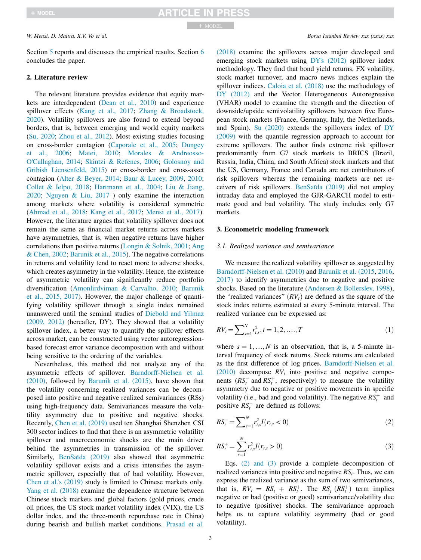Section 5 reports and discusses the empirical results. Section 6 concludes the paper.

### 2. Literature review

The relevant literature provides evidence that equity markets are interdependent (Dean et al., 2010) and experience spillover effects (Kang et al., 2017; Zhang & Broadstock, 2020). Volatility spillovers are also found to extend beyond borders, that is, between emerging and world equity markets (Su, 2020; Zhou et al., 2012). Most existing studies focusing on cross-border contagion (Caporale et al., 2005; Dungey et al., 2006; Matei, 2010; Morales & Andreosso-O'Callaghan, 2014; Skintzi & Refenes, 2006; Golosnoy and Gribish Liensenfeld, 2015) or cross-border and cross-asset contagion (Alter & Beyer, 2014; Baur & Lucey, 2009, 2010; Collet & Ielpo, 2018; Hartmann et al., 2004; Liu & Jiang, 2020; Nguyen & Liu, 2017 ) only examine the interaction among markets where volatility is considered symmetric (Ahmad et al., 2018; Kang et al., 2017; Mensi et al., 2017). However, the literature argues that volatility spillover does not remain the same as financial market returns across markets have asymmetries, that is, when negative returns have higher correlations than positive returns (Longin & Solnik, 2001; Ang & Chen, 2002; Barunik et al., 2015). The negative correlations in returns and volatility tend to react more to adverse shocks, which creates asymmetry in the volatility. Hence, the existence of asymmetric volatility can significantly reduce portfolio diversification (Amonlirdviman & Carvalho, 2010; Barunik et al., 2015, 2017). However, the major challenge of quantifying volatility spillover through a single index remained unanswered until the seminal studies of Diebold and Yilmaz (2009, 2012) (hereafter, DY). They showed that a volatility spillover index, a better way to quantify the spillover effects across market, can be constructed using vector autoregressionbased forecast error variance decomposition with and without being sensitive to the ordering of the variables.

Nevertheless, this method did not analyze any of the asymmetric effects of spillover. Barndorff-Nielsen et al. (2010), followed by Barunik et al. (2015), have shown that the volatility concerning realized variances can be decomposed into positive and negative realized semivariances (RSs) using high-frequency data. Semivariances measure the volatility asymmetry due to positive and negative shocks. Recently, Chen et al. (2019) used ten Shanghai Shenzhen CSI 300 sector indices to find that there is an asymmetric volatility spillover and macroeconomic shocks are the main driver behind the asymmetries in transmission of the spillover. Similarly, BenSaïda (2019) also showed that asymmetric volatility spillover exists and a crisis intensifies the asymmetric spillover, especially that of bad volatility. However, Chen et al.'s (2019) study is limited to Chinese markets only. Yang et al. (2018) examine the dependence structure between Chinese stock markets and global factors (gold prices, crude oil prices, the US stock market volatility index (VIX), the US dollar index, and the three-month repurchase rate in China) during bearish and bullish market conditions. Prasad et al.

(2018) examine the spillovers across major developed and emerging stock markets using DY's (2012) spillover index methodology. They find that bond yield returns, FX volatility, stock market turnover, and macro news indices explain the spillover indices. Caloia et al. (2018) use the methodology of DY (2012) and the Vector Heterogeneous Autoregressive (VHAR) model to examine the strength and the direction of downside/upside semivolatility spillovers between five European stock markets (France, Germany, Italy, the Netherlands, and Spain). Su (2020) extends the spillovers index of DY (2009) with the quantile regression approach to account for extreme spillovers. The author finds extreme risk spillover predominantly from G7 stock markets to BRICS (Brazil, Russia, India, China, and South Africa) stock markets and that the US, Germany, France and Canada are net contributors of risk spillovers whereas the remaining markets are net receivers of risk spillovers. BenSaïda (2019) did not employ intraday data and employed the GJR-GARCH model to estimate good and bad volatility. The study includes only G7 markets.

### 3. Econometric modeling framework

### *3.1. Realized variance and semivariance*

We measure the realized volatility spillover as suggested by Barndorff-Nielsen et al. (2010) and Baruník et al. (2015, 2016, 2017) to identify asymmetries due to negative and positive shocks. Based on the literature (Andersen & Bollerslev, 1998), the "realized variances"  $(RV_t)$  are defined as the square of the stock index returns estimated at every 5-minute interval. The realized variance can be expressed as:

$$
RV_t = \sum_{s=1}^{N} r_{t,s}^2, t = 1, 2, \dots, T
$$
\n(1)

where  $s = 1, ..., N$  is an observation, that is, a 5-minute interval frequency of stock returns. Stock returns are calculated as the first difference of log prices. Barndorff-Nielsen et al.  $(2010)$  decompose  $RV<sub>t</sub>$  into positive and negative components  $(RS_t^-$  and  $RS_t^+$ , respectively) to measure the volatility asymmetry due to negative or positive movements in specific volatility (i.e., bad and good volatility). The negative  $RS_t^+$  and positive  $RS_t^-$  are defined as follows:

$$
RS_t^- = \sum_{s=1}^N r_{t,s}^2 I(r_{t,s} < 0) \tag{2}
$$

$$
RS_t^+ = \sum_{s=1}^N r_{t,s}^2 I(r_{t,s} > 0)
$$
\n(3)

Eqs. (2) and (3) provide a complete decomposition of realized variances into positive and negative *RS<sup>t</sup>* . Thus, we can express the realized variance as the sum of two semivariances, that is,  $RV_t = RS_t^+ + RS_t^+$ . The  $RS_t^-(RS_t^+)$  term implies negative or bad (positive or good) semivariance/volatility due to negative (positive) shocks. The semivariance approach helps us to capture volatility asymmetry (bad or good volatility).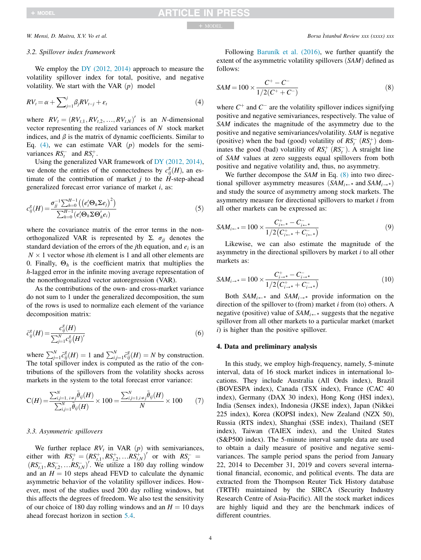follows:

### *3.2. Spillover index framework*

We employ the DY (2012, 2014) approach to measure the volatility spillover index for total, positive, and negative volatility. We start with the VAR  $(p)$  model

$$
RV_t = \alpha + \sum_{j=1}^j \beta_j RV_{t-j} + \varepsilon_t \tag{4}
$$

where  $RV_t = (RV_{t,1}, RV_{t,2}, ..., RV_{t,N})'$  is an *N*-dimensional vector representing the realized variances of *N* stock market indices, and  $\beta$  is the matrix of dynamic coefficients. Similar to Eq.  $(4)$ , we can estimate VAR  $(p)$  models for the semivariances  $RS_t^-$  and  $RS_t^+$ .

Using the generalized VAR framework of DY (2012, 2014), we denote the entries of the connectedness by  $c_{ij}^g(H)$ , an estimate of the contribution of market  $j$  to the  $H$ -step-ahead generalized forecast error variance of market *i*, as:

$$
c_{ij}^{g}(H) = \frac{\sigma_{jj}^{-1} \sum_{h=0}^{H-1} \left( \left( e_i^{\prime} \Theta_h \Sigma e_j \right)^2 \right)}{\sum_{h=0}^{H-1} \left( e_i^{\prime} \Theta_h \Sigma \Theta_h^{\prime} e_i \right)}
$$
(5)

where the covariance matrix of the error terms in the nonorthogonalized VAR is represented by  $\Sigma$ .  $\sigma_{ij}$  denotes the standard deviation of the errors of the *j*th equation, and *e<sup>i</sup>* is an  $N \times 1$  vector whose *i*th element is 1 and all other elements are 0. Finally,  $\Theta_h$  is the coefficient matrix that multiplies the *h*-lagged error in the infinite moving average representation of the nonorthogonalized vector autoregression (VAR).

As the contributions of the own- and cross-market variance do not sum to 1 under the generalized decomposition, the sum of the rows is used to normalize each element of the variance decomposition matrix:

$$
\tilde{c}_{ij}^s(H) = \frac{c_{ij}^s(H)}{\sum_{j=1}^N c_{ij}^s(H)'}\tag{6}
$$

where  $\sum_{j=1}^{N} \tilde{c}_{ij}^{g}(H) = 1$  and  $\sum_{i,j=1}^{N} \tilde{c}_{ij}^{g}(H) = N$  by construction. The total spillover index is computed as the ratio of the contributions of the spillovers from the volatility shocks across markets in the system to the total forecast error variance:

$$
C(H) = \frac{\sum_{i,j=1, i \neq j}^{N} \tilde{\theta}_{ij}(H)}{\sum_{i,j=1}^{N} \tilde{\theta}_{ij}(H)} \times 100 = \frac{\sum_{i,j=1, i \neq j}^{N} \tilde{\theta}_{ij}(H)}{N} \times 100 \tag{7}
$$

### *3.3. Asymmetric spillovers*

*g*

We further replace  $RV<sub>t</sub>$  in VAR  $(p)$  with semivariances,  $R S_t^+ = (R S_{t,1}^+, R S_{t,2}^+, ... R S_{t,N}^+)^t$  or with  $R S_t^- =$  $(RS_{t,1}^-, RS_{t,2}^-, ... RS_{t,N}^-)'$ . We utilize a 180 day rolling window and an  $H = 10$  steps ahead FEVD to calculate the dynamic asymmetric behavior of the volatility spillover indices. However, most of the studies used 200 day rolling windows, but this affects the degrees of freedom. We also test the sensitivity of our choice of 180 day rolling windows and an  $H = 10$  days ahead forecast horizon in section 5.4.

Following Baruník et al. (2016), we further quantify the extent of the asymmetric volatility spillovers  $(SAM)$  defined as

$$
SAM = 100 \times \frac{C^{+} - C^{-}}{1/2(C^{+} + C^{-})}
$$
\n(8)

where  $C^+$  and  $C^-$  are the volatility spillover indices signifying positive and negative semivariances, respectively. The value of *SAM* indicates the magnitude of the asymmetry due to the positive and negative semivariances/volatility. *SAM* is negative (positive) when the bad (good) volatility of  $RS_t^ (RS_t^+)$  dominates the good (bad) volatility of  $RS_t^+$  ( $RS_t^-$ ). A straight line of *SAM* values at zero suggests equal spillovers from both positive and negative volatility and, thus, no asymmetry.

We further decompose the *SAM* in Eq. (8) into two directional spillover asymmetry measures  $(SAM_{i\leftarrow *}$  and  $SAM_{i\rightarrow *}$ ) and study the source of asymmetry among stock markets. The asymmetry measure for directional spillovers to market *i* from all other markets can be expressed as:

$$
SAM_{i\leftarrow*} = 100 \times \frac{C_{i\leftarrow*}^{+} - C_{i\leftarrow*}^{-}}{1/2(C_{i\leftarrow*}^{+} + C_{i\leftarrow*}^{-})}
$$
\n
$$
\tag{9}
$$

Likewise, we can also estimate the magnitude of the asymmetry in the directional spillovers by market *i* to all other markets as:

$$
SAM_{i\rightarrow*} = 100 \times \frac{C_{i\rightarrow*}^{+} - C_{i\rightarrow*}^{-}}{1/2(C_{i\rightarrow*}^{+} + C_{i\rightarrow*}^{-})}
$$
(10)

Both  $SAM_i \rightarrow$  and  $SAM_i \rightarrow$  provide information on the direction of the spillover to (from) market *i* from (to) others. A negative (positive) value of  $SAM_{i\leftarrow *}$  suggests that the negative spillover from all other markets to a particular market (market *i*) is higher than the positive spillover.

### 4. Data and preliminary analysis

In this study, we employ high-frequency, namely, 5-minute interval, data of 16 stock market indices in international locations. They include Australia (All Ords index), Brazil (BOVESPA index), Canada (TSX index), France (CAC 40 index), Germany (DAX 30 index), Hong Kong (HSI index), India (Sensex index), Indonesia (JKSE index), Japan (Nikkei 225 index), Korea (KOPSI index), New Zealand (NZX 50), Russia (RTS index), Shanghai (SSE index), Thailand (SET index), Taiwan (TAIEX index), and the United States (S&P500 index). The 5-minute interval sample data are used to obtain a daily measure of positive and negative semivariances. The sample period spans the period from January 22, 2014 to December 31, 2019 and covers several international financial, economic, and political events. The data are extracted from the Thompson Reuter Tick History database (TRTH) maintained by the SIRCA (Security Industry Research Centre of Asia-Pacific). All the stock market indices are highly liquid and they are the benchmark indices of different countries.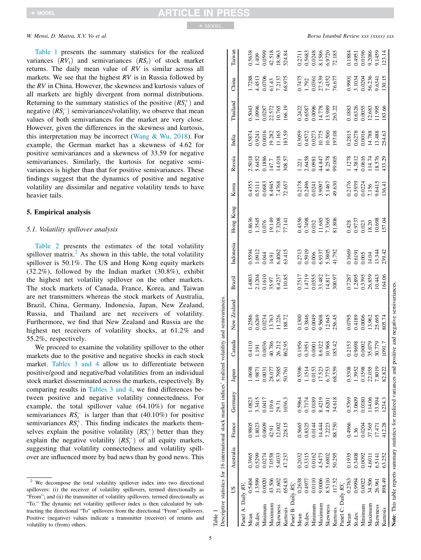Table 1 presents the summary statistics for the realized variances  $(RV_t)$  and semivariances  $(RS_t)$  of stock market returns. The daily mean value of *RV* is similar across all markets. We see that the highest *RV* is in Russia followed by the *RV* in China. However, the skewness and kurtosis values of all markets are highly divergent from normal distributions. Returning to the summary statistics of the positive  $(RS_t^+)$  and negative  $(RS_t^-)$  semivariances/volatility, we observe that mean values of both semivariances for the market are very close. However, given the differences in the skewness and kurtosis, this interpretation may be incorrect (Wang  $& Wu$ , 2018). For example, the German market has a skewness of 4.62 for positive semivariances and a skewness of 33.59 for negative semivariances. Similarly, the kurtosis for negative semivariances is higher than that for positive semivariances. These findings suggest that the dynamics of positive and negative volatility are dissimilar and negative volatility tends to have heavier tails.

### 5. Empirical analysis

### *5.1. Volatility spillover analysis*

Table 2 presents the estimates of the total volatility spillover matrix.<sup>2</sup> As shown in this table, the total volatility spillover is 50.1%. The US and Hong Kong equity markets (32.2%), followed by the Indian market (30.8%), exhibit the highest net volatility spillover on the other markets. The stock markets of Canada, France, Korea, and Taiwan are net transmitters whereas the stock markets of Australia, Brazil, China, Germany, Indonesia, Japan, New Zealand, Russia, and Thailand are net receivers of volatility. Furthermore, we find that New Zealand and Russia are the highest net receivers of volatility shocks, at 61.2% and 55.2%, respectively.

We proceed to examine the volatility spillover to the other markets due to the positive and negative shocks in each stock market. Tables 3 and 4 allow us to differentiate between positive/good and negative/bad volatilities from an individual stock market disseminated across the markets, respectively. By comparing results in Tables 3 and 4, we find differences between positive and negative volatility connectedness. For example, the total spillover value (64.10%) for negative semivariances  $RS_t^-$  is larger than that (40.10%) for positive semivariances  $RS_t^+$ . This finding indicates the markets themselves explain the positive volatility  $(RS_t^+)$  better than they explain the negative volatility  $(RS_t^-)$  of all equity markets, suggesting that volatility connectedness and volatility spillover are influenced more by bad news than by good news. This

*W. Mensi, D. Maitra, X.V. Vo et al. Borsa Istanbul Review xxx (xxxx) xxx* 

| Table 1            |        |           |        |                                                                            |        |                    |                                                                                                             |                                                  |                                              |                                                         |                                                          |                                                         |                                                |                                                |                                                         |                                                  |
|--------------------|--------|-----------|--------|----------------------------------------------------------------------------|--------|--------------------|-------------------------------------------------------------------------------------------------------------|--------------------------------------------------|----------------------------------------------|---------------------------------------------------------|----------------------------------------------------------|---------------------------------------------------------|------------------------------------------------|------------------------------------------------|---------------------------------------------------------|--------------------------------------------------|
|                    |        |           |        | Descriptive statistics for 16 international stock market indices' realized |        |                    | volatility and semivariances.                                                                               |                                                  |                                              |                                                         |                                                          |                                                         |                                                |                                                |                                                         |                                                  |
|                    | SU     | Australia | France | Germany                                                                    | Japan  | Canada             | New Zealand                                                                                                 | Brazil                                           | Indonesia                                    | Hong Kong                                               | Korea                                                    | Russia                                                  | India                                          | Thailand                                       | China                                                   | Taiwan                                           |
| Panel A: Daily RV  |        |           |        |                                                                            |        |                    |                                                                                                             |                                                  |                                              |                                                         |                                                          |                                                         |                                                |                                                |                                                         |                                                  |
| Mean               | 0.5404 | 0.3965    | 0.9805 | 1.0823                                                                     | .0698  | 0114               | 0.2586                                                                                                      |                                                  |                                              |                                                         |                                                          |                                                         |                                                |                                                |                                                         |                                                  |
| St.dev.            | 1.3599 | 0.5299    | 1.8023 | 3.3415                                                                     | 1.9871 | $1.191$<br>$0.036$ | 1.6269                                                                                                      | 1.4803<br>2.1204<br>3.610<br>3.4237              | 0.5594<br>1.0912<br>0.044<br>14.91<br>5.4062 | 0.8636<br>1.3545<br>1.9076<br>1.149<br>7.3208           | 0.4355<br>0.5111<br>0.0683<br>8.4945<br>7.4768<br>72.657 | 2.5018<br>5.6452<br>0.1886<br>147.7<br>14.018<br>14.018 | 0.5874<br>0.9241<br>0.0016<br>19.282<br>11.165 | 0.5043<br>1.0996<br>0.0287<br>10.765<br>10.765 | 1.7288<br>4.4513<br>0.0706<br>61.43<br>7.2137<br>68.975 | 0.5638<br>1.409<br>0.0599<br>42.518<br>18.963    |
| Minimur            | 0.0020 | 0.0274    | 0.0609 |                                                                            | 0.0031 |                    | 1.0234                                                                                                      |                                                  |                                              |                                                         |                                                          |                                                         |                                                |                                                |                                                         |                                                  |
| Maximur            | 43.506 | 7.0558    | 42.91  | 119.6                                                                      | 28.077 | 40.786             |                                                                                                             |                                                  |                                              |                                                         |                                                          |                                                         |                                                |                                                |                                                         |                                                  |
| Skewness           | 21.602 | 5.4033    | 12.002 | 29.71                                                                      | 5.7985 | 26.212             | 1.226                                                                                                       |                                                  |                                              |                                                         |                                                          |                                                         |                                                |                                                |                                                         |                                                  |
| Kurtosis           | 654.83 | 47.237    | 228.15 | 1036.3                                                                     | 50.761 | 862.95             | 88.72                                                                                                       | 110.85                                           |                                              |                                                         |                                                          |                                                         | 83.59                                          |                                                |                                                         | 524.84                                           |
| Panel B: Daily RS, |        |           |        |                                                                            |        |                    |                                                                                                             |                                                  |                                              |                                                         |                                                          |                                                         |                                                |                                                |                                                         |                                                  |
| Mean               | 0.2638 | 0.2032    | 0.5665 | 0.5964                                                                     | 0.5396 | 0.1956             |                                                                                                             |                                                  |                                              |                                                         |                                                          |                                                         |                                                |                                                |                                                         |                                                  |
| St.dev.            | 0.4977 | 0.3315    | 0.8325 |                                                                            | 1514   | 0.3951             | 0.1300                                                                                                      |                                                  |                                              |                                                         |                                                          |                                                         |                                                |                                                |                                                         |                                                  |
| Minimum            | 0.0110 | 0.0162    | 0.0144 | 0.0189                                                                     | 0.0153 | 0.0001             | 0.0049                                                                                                      |                                                  | 0.2713<br>0.5919<br>0.006                    |                                                         |                                                          |                                                         |                                                |                                                |                                                         |                                                  |
| Maximur            | 0.0006 | 4.5473    | 14.444 | 8.4219                                                                     | 17.523 | 8.6322             | 5608                                                                                                        | ).7517<br>1.4719<br>5555.682<br>14.817<br>14.817 | 5.9337<br>5.3805                             | 0.4356<br>0.7498<br>0.032<br>11.685<br>7.3365<br>7.3365 | 0.2178<br>0.2496<br>0.0241<br>5.1467                     | 1.221<br>2.6458<br>0.0981<br>44.847<br>8.2578           | 0.3059<br>0.4572<br>0.0273<br>10.775<br>10.500 | 0.2422<br>0.6587<br>0.0096<br>14.778<br>13.989 | 0.7475<br>1.792<br>0.0361<br>7.4352<br>76.677           | 0.2711<br>0.5683<br>0.0248<br>5.9720<br>5.972185 |
| Skewness           | 8.5110 | 5.6802    | 7.2223 | 4.6201                                                                     | 6.7753 | 10.968             | 12.645                                                                                                      |                                                  |                                              |                                                         |                                                          |                                                         |                                                |                                                |                                                         |                                                  |
| Kurtosis           | 117.52 | 50.295    | 88.750 | 34.618                                                                     | 68.559 | 185.42             | 256.45                                                                                                      |                                                  | 11.792                                       |                                                         | 49.630                                                   |                                                         | 197.08                                         | 263.22                                         |                                                         |                                                  |
| Panel C: Daily RS; |        |           |        |                                                                            |        |                    |                                                                                                             |                                                  |                                              |                                                         |                                                          |                                                         |                                                |                                                |                                                         |                                                  |
| Mean               | 0.2763 | 0.1935    | 0.4966 | 0.5769                                                                     | 0.5308 | 0.2153             |                                                                                                             |                                                  |                                              |                                                         |                                                          |                                                         |                                                |                                                |                                                         |                                                  |
| St.dev.            | 0.9994 | 0.3408    | 36     | 3.0609                                                                     | 1.3952 | 0.9698             | 0.0795<br>0.4189<br>0.0006                                                                                  | 0.7287<br>1.2895<br>26.859<br>26.859             | 0.1669<br>0.6191<br>0.005                    | 0.428<br>0.9737<br>0.023<br>18.20<br>10.698             | 0.2176<br>0.3939<br>0.0224<br>7.156<br>9.6415            | 1.1278<br>4.3812<br>10616<br>114.74<br>18.576           | 0.2815<br>0.6278<br>0.0016<br>14.788<br>13.488 | 0.1883<br>0.6326<br>0.0055<br>11.995<br>11.995 | 0.9901<br>3.1034<br>0.0204<br>56.236<br>9.6341          | 0.1884<br>0.4951<br>0.0196<br>0.2086<br>9.1459   |
| Minimum            | 0.0022 | 0.0092    | 0.0204 | 0.0180                                                                     | 0.1598 | 0.0002             |                                                                                                             |                                                  |                                              |                                                         |                                                          |                                                         |                                                |                                                |                                                         |                                                  |
| Maximum            | 34.506 | 4.6011    | 37.565 | 114.06                                                                     | 22.055 | 35.079             | 13.962<br>25.695                                                                                            |                                                  | 14.04<br>13.344                              |                                                         |                                                          |                                                         |                                                |                                                |                                                         |                                                  |
| Skewness           | 26.961 | 6.5141    | 17.471 | 33.594                                                                     | 7.8019 | 30.779             |                                                                                                             |                                                  |                                              |                                                         |                                                          |                                                         |                                                |                                                |                                                         |                                                  |
| Kurtosis           | 898.49 | 63.252    | 112.28 | 1234.3                                                                     | 82.822 | 1091.7             | 805.74                                                                                                      | 64.06                                            | 239.42                                       | 157.04                                                  | 136.41                                                   | 133.29                                                  | 254.63                                         | 183.66                                         | 130.15                                                  | 123.14                                           |
|                    |        |           |        |                                                                            |        |                    | Note: This table reports summary statistics for realized variances and positive and negative semivariances. |                                                  |                                              |                                                         |                                                          |                                                         |                                                |                                                |                                                         |                                                  |

5

<sup>&</sup>lt;sup>2</sup> We decompose the total volatility spillover index into two directional spillovers: (i) the receiver of volatility spillovers, termed directionally as "From"; and (ii) the transmitter of volatility spillovers, termed directionally as "To." The dynamic net volatility spillover index is then calculated by subtracting the directional "To" spillovers from the directional "From" spillovers. Positive (negative) values indicate a transmitter (receiver) of returns and volatility to (from) others.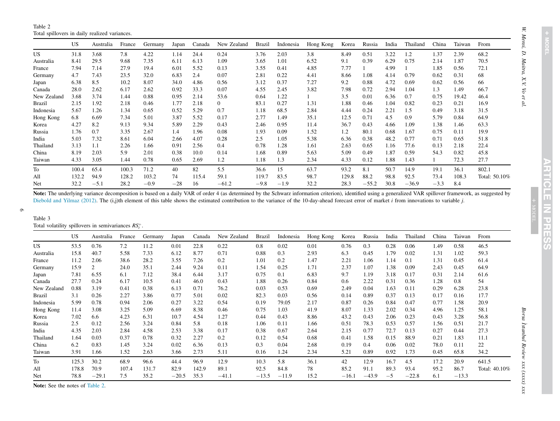Table 2 Total spillovers in daily realized variances.

|               | <b>US</b> | Australia | France | Germany | Japan | Canada | New Zealand    | <b>Brazil</b> | Indonesia | Hong Kong | Korea | Russia  | India | Thailand | China  | Taiwan | From          |
|---------------|-----------|-----------|--------|---------|-------|--------|----------------|---------------|-----------|-----------|-------|---------|-------|----------|--------|--------|---------------|
| US.           | 31.8      | 3.68      | 7.8    | 4.22    | 1.14  | 24.4   | 0.24           | 3.76          | 2.03      | 3.8       | 8.49  | 0.51    | 3.22  | 1.2      | 1.37   | 2.39   | 68.2          |
| Australia     | 8.41      | 29.5      | 9.68   | 7.35    | 6.11  | 6.13   | 1.09           | 3.65          | 1.01      | 6.52      | 9.1   | 0.39    | 6.29  | 0.75     | 2.14   | 1.87   | 70.5          |
| France        | 7.94      | 7.14      | 27.9   | 19.4    | 6.01  | 5.52   | 0.13           | 3.55          | 0.41      | 4.85      | 7.77  |         | 4.99  |          | 1.85   | 0.56   | 72.1          |
| Germany       | 4.7       | 7.43      | 23.5   | 32.0    | 6.83  | 2.4    | 0.07           | 2.81          | 0.22      | 4.41      | 8.66  | 1.08    | 4.14  | 0.79     | 0.62   | 0.31   | 68            |
| Japan         | 6.38      | 8.5       | 10.2   | 8.07    | 34.0  | 4.86   | 0.56           | 3.12          | 0.37      | 7.27      | 9.2   | 0.88    | 4.72  | 0.69     | 0.62   | 0.56   | 66            |
| Canada        | 28.0      | 2.62      | 6.17   | 2.62    | 0.92  | 33.3   | 0.07           | 4.55          | 2.45      | 3.82      | 7.98  | 0.72    | 2.94  | 1.04     | 1.3    | 1.49   | 66.7          |
| New Zealand   | 3.68      | 3.74      | 1.44   | 0.88    | 0.95  | 2.14   | 53.6           | 0.64          | 1.22      |           | 3.5   | 0.01    | 6.36  | 0.7      | 0.75   | 19.42  | 46.4          |
| <b>Brazil</b> | 2.15      | 1.92      | 2.18   | 0.46    | 1.77  | 2.18   | $\overline{0}$ | 83.1          | 0.27      | 1.31      | 1.88  | 0.46    | 1.04  | 0.82     | 0.23   | 0.21   | 16.9          |
| Indonesia     | 5.67      | 1.26      | 1.34   | 0.65    | 0.52  | 5.29   | 0.7            | 1.18          | 68.5      | 2.84      | 4.44  | 0.24    | 2.21  | 1.5      | 0.49   | 3.18   | 31.5          |
| Hong Kong     | 6.8       | 6.69      | 7.34   | 5.01    | 3.87  | 5.52   | 0.17           | 2.77          | 1.49      | 35.1      | 12.5  | 0.71    | 4.5   | 0.9      | 5.79   | 0.84   | 64.9          |
| Korea         | 4.27      | 8.2       | 9.13   | 9.34    | 5.89  | 2.29   | 0.43           | 2.46          | 0.95      | 11.4      | 36.7  | 0.43    | 4.66  | 1.09     | 1.38   | 1.46   | 63.3          |
| Russia        | 1.76      | 0.7       | 3.35   | 2.67    | 1.4   | 1.96   | 0.08           | 1.93          | 0.09      | 1.52      | 1.2   | 80.1    | 0.68  | 1.67     | 0.75   | 0.11   | 19.9          |
| India         | 5.03      | 7.32      | 8.61   | 6.04    | 2.66  | 4.07   | 0.28           | 2.5           | 1.05      | 5.38      | 6.36  | 0.38    | 48.2  | 0.77     | 0.71   | 0.65   | 51.8          |
| Thailand      | 3.13      | 1.1       | 2.26   | 1.66    | 0.91  | 2.56   | 0.4            | 0.78          | 1.28      | 1.61      | 2.63  | 0.65    | 1.16  | 77.6     | 0.13   | 2.18   | 22.4          |
| China         | 8.19      | 2.03      | 5.9    | 2.01    | 0.38  | 10.0   | 0.14           | 1.68          | 0.89      | 5.63      | 5.09  | 0.49    | 1.87  | 0.59     | 54.3   | 0.82   | 45.8          |
| Taiwan        | 4.33      | 3.05      | 1.44   | 0.78    | 0.65  | 2.69   | 1.2            | 1.18          | 1.3       | 2.34      | 4.33  | 0.12    | 1.88  | 1.43     |        | 72.3   | 27.7          |
| To            | 100.4     | 65.4      | 100.3  | 71.2    | 40    | 82     | 5.5            | 36.6          | 15        | 63.7      | 93.2  | 8.1     | 50.7  | 14.9     | 19.1   | 36.1   | 802.1         |
| All           | 132.2     | 94.9      | 128.2  | 103.2   | 74    | 115.4  | 59.1           | 119.7         | 83.5      | 98.7      | 129.8 | 88.2    | 98.8  | 92.5     | 73.4   | 108.3  | Total: 50.10% |
| Net           | 32.2      | $-5.1$    | 28.2   | $-0.9$  | $-28$ | 16     | $-61.2$        | $-9.8$        | $-1.9$    | 32.2      | 28.3  | $-55.2$ | 30.8  | $-36.9$  | $-3.3$ | 8.4    |               |

Note: The underlying variance decomposition is based on a daily VAR of order 4 (as determined by the Schwarz information criterion), identified using a generalized VAR spillover framework, as suggested by Diebold and Yilmaz (2012). The (i,j)th element of this table shows the estimated contribution to the variance of the 10-day-ahead forecast error of market *i* from innovations to variable *j*.

# $\sigma$

Table 3

|  |  |  |  | Total volatility spillovers in semivariances $RS_t^+$ . |  |
|--|--|--|--|---------------------------------------------------------|--|
|--|--|--|--|---------------------------------------------------------|--|

|               | <b>US</b> | Australia | France | Germany | Japan   | Canada | New Zealand | <b>Brazil</b> | Indonesia | Hong Kong | Korea   | Russia  | India | Thailand | China | Taiwan  | From          |
|---------------|-----------|-----------|--------|---------|---------|--------|-------------|---------------|-----------|-----------|---------|---------|-------|----------|-------|---------|---------------|
| US.           | 53.5      | 0.76      | 7.2    | 11.2    | 0.01    | 22.8   | 0.22        | 0.8           | 0.02      | 0.01      | 0.76    | 0.3     | 0.28  | 0.06     | 1.49  | 0.58    | 46.5          |
| Australia     | 15.8      | 40.7      | 5.58   | 7.33    | 6.12    | 8.77   | 0.71        | 0.88          | 0.3       | 2.93      | 6.3     | 0.45    | 1.79  | 0.02     | 1.31  | 1.02    | 59.3          |
| France        | 11.2      | 2.06      | 38.6   | 28.2    | 3.55    | 7.26   | 0.2         | 1.01          | 0.2       | 1.47      | 2.21    | 1.06    | 1.14  | 0.1      | 1.31  | 0.45    | 61.4          |
| Germany       | 15.9      | 2         | 24.0   | 35.1    | 2.44    | 9.24   | 0.11        | 1.54          | 0.25      | 1.71      | 2.37    | 1.07    | 1.38  | 0.09     | 2.43  | 0.45    | 64.9          |
| Japan         | 7.81      | 6.55      | 6.1    | 7.12    | 38.4    | 6.44   | 3.17        | 0.75          | 0.1       | 6.83      | 9.7     | 1.19    | 3.18  | 0.17     | 0.31  | 2.14    | 61.6          |
| Canada        | 27.7      | 0.24      | 6.17   | 10.5    | 0.41    | 46.0   | 0.43        | 1.88          | 0.26      | 0.84      | 0.6     | 2.22    | 0.31  | 0.36     | 1.28  | 0.8     | 54            |
| New Zealand   | 0.88      | 3.19      | 0.41   | 0.38    | 6.13    | 0.71   | 76.2        | 0.03          | 0.53      | 0.69      | 2.49    | 0.04    | 1.63  | 0.11     | 0.29  | 6.28    | 23.8          |
| <b>Brazil</b> | 3.1       | 0.26      | 2.27   | 3.86    | 0.77    | 5.01   | 0.02        | 82.3          | 0.03      | 0.56      | 0.14    | 0.89    | 0.37  | 0.13     | 0.17  | 0.16    | 17.7          |
| Indonesia     | 5.99      | 0.78      | 0.94   | 2.06    | 0.27    | 3.22   | 0.54        | 0.19          | 79.05     | 2.17      | 0.87    | 0.26    | 0.84  | 0.47     | 0.77  | 1.58    | 20.9          |
| Hong Kong     | 11.4      | 3.08      | 3.25   | 5.09    | 6.69    | 8.38   | 0.46        | 0.75          | 1.03      | 41.9      | 8.07    | 1.33    | 2.02  | 0.34     | 4.96  | 1.25    | 58.1          |
| Korea         | 7.02      | 6.6       | 4.23   | 6.31    | 10.7    | 4.54   | 1.27        | 0.44          | 0.43      | 8.86      | 43.2    | 0.43    | 2.06  | 0.23     | 0.43  | 3.28    | 56.8          |
| Russia        | 2.5       | 0.12      | 2.56   | 3.24    | 0.84    | 5.8    | 0.18        | 1.06          | 0.11      | 1.66      | 0.51    | 78.3    | 0.53  | 0.57     | 1.56  | 0.51    | 21.7          |
| India         | 4.35      | 2.03      | 2.84   | 4.58    | 2.53    | 3.38   | 0.17        | 0.38          | 0.67      | 2.64      | 2.15    | 0.77    | 72.7  | 0.13     | 0.27  | 0.44    | 27.3          |
| Thailand      | 1.64      | 0.03      | 0.37   | 0.78    | 0.32    | 2.27   | 0.2         | 0.12          | 0.54      | 0.68      | 0.41    | 1.58    | 0.15  | 88.9     | 0.21  | 1.83    | 11.1          |
| China         | 6.2       | 0.83      | 1.45   | 3.24    | 0.02    | 6.36   | 0.13        | 0.3           | 0.04      | 2.68      | 0.19    | 0.4     | 0.06  | 0.02     | 78.0  | 0.11    | 22            |
| Taiwan        | 3.91      | 1.66      | 1.52   | 2.63    | 3.66    | 2.73   | 5.11        | 0.16          | 1.24      | 2.34      | 5.21    | 0.89    | 0.92  | 1.73     | 0.45  | 65.8    | 34.2          |
| To            | 125.3     | 30.2      | 68.9   | 96.6    | 44.4    | 96.9   | 12.9        | 10.3          | 5.8       | 36.1      | 42      | 12.9    | 16.7  | 4.5      | 17.2  | 20.9    | 641.5         |
| All           | 178.8     | 70.9      | 107.4  | 131.7   | 82.9    | 142.9  | 89.1        | 92.5          | 84.8      | 78        | 85.2    | 91.1    | 89.3  | 93.4     | 95.2  | 86.7    | Total: 40.10% |
| Net           | 78.8      | $-29.1$   | 7.5    | 35.2    | $-20.5$ | 35.3   | $-41.1$     | $-13.5$       | $-11.9$   | 15.2      | $-16.1$ | $-43.9$ | $-5$  | $-22.8$  | 6.1   | $-13.3$ |               |

Note: See the notes of Table 2.

+ MODEL MODEL

Borsa Istanbul Review xxx (xxxx) xxx *Istanbul Review xxx (xxxx) xxx* \_

*W. Mensi, D. Maitra, X.V. Vo et al.*

W. Mensi, D. Maitra, X.V. Vo $et$ al.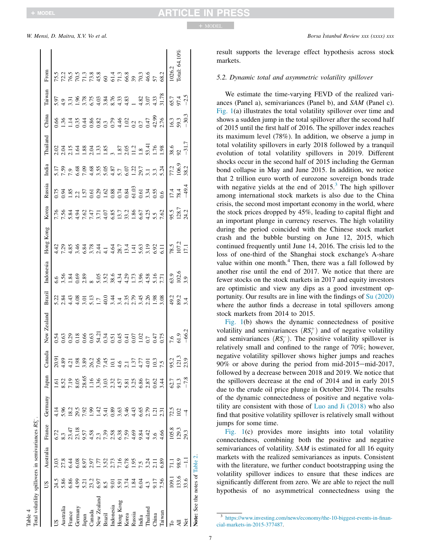| Table 4                                           |                                                |               |                                       |         |                       |                                        |                        |              |                  |                                                                                                                        |                       |                                                                                                                                |                                             |                                                                                                                                                                                                                                                                                                         |                     |                |               |
|---------------------------------------------------|------------------------------------------------|---------------|---------------------------------------|---------|-----------------------|----------------------------------------|------------------------|--------------|------------------|------------------------------------------------------------------------------------------------------------------------|-----------------------|--------------------------------------------------------------------------------------------------------------------------------|---------------------------------------------|---------------------------------------------------------------------------------------------------------------------------------------------------------------------------------------------------------------------------------------------------------------------------------------------------------|---------------------|----------------|---------------|
| Total volatility spillovers in semivariances RS-. |                                                |               |                                       |         |                       |                                        |                        |              |                  |                                                                                                                        |                       |                                                                                                                                |                                             |                                                                                                                                                                                                                                                                                                         |                     |                |               |
|                                                   | SU                                             | Australia     | France                                | Germany | Japan                 | Canada                                 | New Zealand            | Brazil       | Indonesia        | Hong Kong                                                                                                              | Korea                 | Russia                                                                                                                         | India                                       | Thailand                                                                                                                                                                                                                                                                                                | China               | Taiwan         | From          |
|                                                   | 24.5                                           | 3.03          | 6.72                                  | 4.14    | <u>હ</u>              |                                        |                        |              |                  |                                                                                                                        |                       |                                                                                                                                |                                             |                                                                                                                                                                                                                                                                                                         |                     |                |               |
| Australia                                         | 5.86                                           | 27.8          |                                       | 5.96    | 8.52                  |                                        |                        |              |                  |                                                                                                                        |                       |                                                                                                                                |                                             |                                                                                                                                                                                                                                                                                                         |                     |                |               |
| France                                            | 6.86                                           | 6.44          | $8.3$<br>$23.47$<br>$23.18$<br>$9.57$ | 18.2    |                       |                                        |                        |              |                  |                                                                                                                        |                       |                                                                                                                                |                                             |                                                                                                                                                                                                                                                                                                         |                     |                |               |
| Germany                                           |                                                | 6.08          |                                       | 29.5    |                       |                                        |                        |              |                  |                                                                                                                        |                       |                                                                                                                                |                                             |                                                                                                                                                                                                                                                                                                         |                     |                |               |
| Japan                                             | $4.335$<br>$5.355$<br>$5.55$<br>$5.5$<br>$5.5$ | 8.97          |                                       | 7.92    | 7.19<br>8.05<br>28.65 |                                        |                        |              |                  |                                                                                                                        |                       |                                                                                                                                |                                             |                                                                                                                                                                                                                                                                                                         |                     |                |               |
| Canada                                            |                                                | 2.97          |                                       | 99      | 1.16                  |                                        |                        |              |                  |                                                                                                                        |                       |                                                                                                                                |                                             |                                                                                                                                                                                                                                                                                                         |                     |                |               |
| New Zealand                                       |                                                | E             |                                       | 1.42    | 3.36                  |                                        |                        |              |                  |                                                                                                                        |                       |                                                                                                                                |                                             |                                                                                                                                                                                                                                                                                                         |                     |                |               |
| Brazil                                            |                                                | 3.52          |                                       | 5.41    | 3.03                  |                                        |                        |              |                  |                                                                                                                        |                       |                                                                                                                                |                                             |                                                                                                                                                                                                                                                                                                         |                     |                |               |
| Indonesia                                         |                                                |               |                                       | 0.89    |                       |                                        |                        |              |                  |                                                                                                                        |                       |                                                                                                                                |                                             |                                                                                                                                                                                                                                                                                                         |                     |                |               |
| Hong Kong                                         | $5.91$<br>$3.74$                               | 2.73<br>7.16  | $4.58$<br>$7.39$<br>$7.38$<br>$6.38$  | 3.63    | $2.32$<br>4.57        | .<br>වි. ම ය ම ම ය ද ය ය ප ප ප ය ය ය ය |                        |              |                  | 4 0 4 0 6 0 0 1 4 4 6 7 4 5 6 7 6 7<br>4 7 9 7 9 7 9 7 7 7 8 7 7 7 7 8 7 9 70 7<br>4 7 9 7 9 7 8 7 7 7 7 7 7 7 8 9 9 0 |                       |                                                                                                                                | 17998885987521777777<br>1799888598752777777 | $2.3 \pm 2.3 \pm 2.3 \pm 2.3 \pm 2.3 \pm 2.3 \pm 2.3 \pm 2.3 \pm 2.3 \pm 2.3 \pm 2.3 \pm 2.3 \pm 2.3 \pm 2.3 \pm 2.3 \pm 2.3 \pm 2.3 \pm 2.3 \pm 2.3 \pm 2.3 \pm 2.3 \pm 2.3 \pm 2.3 \pm 2.3 \pm 2.3 \pm 2.3 \pm 2.3 \pm 2.3 \pm 2.3 \pm 2.3 \pm 2.3 \pm 2.3 \pm 2.3 \pm 2.3 \pm 2.3 \pm 2.3 \pm 2.3 \$ |                     |                |               |
| Korea                                             |                                                | 6.78          | 7.59                                  | 5.46    | 5.81                  |                                        |                        |              |                  |                                                                                                                        |                       |                                                                                                                                |                                             |                                                                                                                                                                                                                                                                                                         |                     |                |               |
| Russia                                            | 1.84                                           |               | 4.69                                  | 4.43    | 3.25                  |                                        |                        |              |                  |                                                                                                                        |                       |                                                                                                                                |                                             |                                                                                                                                                                                                                                                                                                         |                     |                |               |
| India                                             |                                                | $1.95$<br>7.5 | 9.84                                  | 6.65    | 6.86                  |                                        |                        |              |                  |                                                                                                                        |                       |                                                                                                                                |                                             |                                                                                                                                                                                                                                                                                                         |                     |                |               |
| hailano                                           | 4.3<br>4.3<br>5.4<br>9.17                      | 3.24          | $4.42$<br>3.6                         | 2.79    | 2.87                  |                                        |                        |              |                  |                                                                                                                        |                       |                                                                                                                                |                                             |                                                                                                                                                                                                                                                                                                         |                     |                |               |
| China                                             |                                                | 2.11          |                                       | 1.21    | 0.62                  |                                        |                        |              |                  |                                                                                                                        |                       |                                                                                                                                |                                             |                                                                                                                                                                                                                                                                                                         |                     |                |               |
| faiwan                                            | 7.56                                           | 6.89          | 4.66                                  | 2.31    | 3.44                  |                                        |                        |              |                  |                                                                                                                        |                       | $0.75$<br>$0.98$<br>$0.20$<br>$0.50$<br>$0.60$<br>$0.88$<br>$0.60$<br>$0.60$<br>$0.60$<br>$0.60$<br>$0.60$<br>$0.60$<br>$0.60$ |                                             |                                                                                                                                                                                                                                                                                                         |                     |                |               |
| F                                                 | 109.1                                          |               | 105.8                                 | 72.5    | 62.7                  |                                        |                        |              |                  |                                                                                                                        |                       |                                                                                                                                |                                             | 38.6<br>92                                                                                                                                                                                                                                                                                              |                     |                | 1026.2        |
|                                                   | 133.6                                          | 98.9          | 129.3                                 | 102     | 91.3                  | 95.2<br>121.3<br>13.9                  | $7.6$<br>61.9<br>-66.2 | 49.2<br>89.2 | $\frac{63}{102}$ | 78.5<br>107.2<br>17.1                                                                                                  | 95.5<br>128.7<br>24.2 | $\frac{17.4}{78.4}$                                                                                                            | 77.2<br>106.9                               |                                                                                                                                                                                                                                                                                                         | $\frac{16.3}{59.3}$ | $65.7$<br>97.4 | Total: 64.10% |
| Σă                                                | 33.6                                           |               | 29.3                                  |         | $-7.8$                |                                        |                        | 3.4          |                  |                                                                                                                        |                       |                                                                                                                                | 38.2                                        | $-31.7$                                                                                                                                                                                                                                                                                                 |                     |                |               |
| Note: See the notes of Table 2.                   |                                                |               |                                       |         |                       |                                        |                        |              |                  |                                                                                                                        |                       |                                                                                                                                |                                             |                                                                                                                                                                                                                                                                                                         |                     |                |               |

result supports the leverage effect hypothesis across stock markets.

### *5.2. Dynamic total and asymmetric volatility spillover*

We estimate the time-varying FEVD of the realized variances (Panel a), semivariances (Panel b), and *SAM* (Panel c). Fig. 1(a) illustrates the total volatility spillover over time and shows a sudden jump in the total spillover after the second half of 2015 until the first half of 2016. The spillover index reaches its maximum level (78%). In addition, we observe a jump in total volatility spillovers in early 2018 followed by a tranquil evolution of total volatility spillovers in 2019. Different shocks occur in the second half of 2015 including the German bond collapse in May and June 2015. In addition, we notice that 2 trillion euro worth of eurozone sovereign bonds trade with negative yields at the end of  $2015$ .<sup>3</sup> The high spillover among international stock markets is also due to the China crisis, the second most important economy in the world, where the stock prices dropped by 45%, leading to capital flight and an important plunge in currency reserves. The high volatility during the period coincided with the Chinese stock market crash and the bubble bursting on June 12, 2015, which continued frequently until June 14, 2016. The crisis led to the loss of one-third of the Shanghai stock exchange's A-share value within one month.<sup>4</sup> Then, there was a fall followed by another rise until the end of 2017. We notice that there are fewer stocks on the stock markets in 2017 and equity investors are optimistic and view any dips as a good investment opportunity. Our results are in line with the findings of Su (2020) where the author finds a decrease in total spillovers among stock markets from 2014 to 2015.

Fig. 1(b) shows the dynamic connectedness of positive volatility and semivariances  $(RS_t^+)$  and of negative volatility and semivariances  $(RS_t^-)$ . The positive volatility spillover is relatively small and confined to the range of 70%; however, negative volatility spillover shows higher jumps and reaches 90% or above during the period from mid-2015 $-$ mid-2017, followed by a decrease between 2018 and 2019. We notice that the spillovers decrease at the end of 2014 and in early 2015 due to the crude oil price plunge in October 2014. The results of the dynamic connectedness of positive and negative volatility are consistent with those of Luo and Ji (2018) who also find that positive volatility spillover is relatively small without jumps for some time.

Fig. 1(c) provides more insights into total volatility connectedness, combining both the positive and negative semivariances of volatility. *SAM* is estimated for all 16 equity markets with the realized semivariances as inputs. Consistent with the literature, we further conduct bootstrapping using the volatility spillover indices to ensure that these indices are significantly different from zero. We are able to reject the null hypothesis of no asymmetrical connectedness using the

<sup>3</sup> https://www.investing.com/news/economy/the-10-biggest-events-in-financial-markets-in-2015-377487.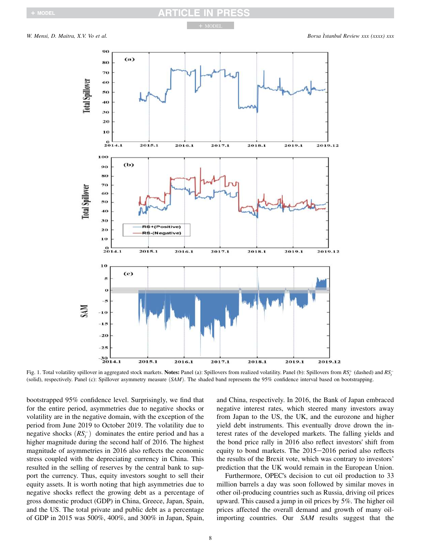

Fig. 1. Total volatility spillover in aggregated stock markets. Notes: Panel (a): Spillovers from realized volatility. Panel (b): Spillovers from  $RS_t^+$  (dashed) and  $RS_t^-$ (solid), respectively. Panel (c): Spillover asymmetry measure  $(SAM)$ . The shaded band represents the 95% confidence interval based on bootstrapping.

bootstrapped 95% confidence level. Surprisingly, we find that for the entire period, asymmetries due to negative shocks or volatility are in the negative domain, with the exception of the period from June 2019 to October 2019. The volatility due to negative shocks  $(RS_t^-)$  dominates the entire period and has a higher magnitude during the second half of 2016. The highest magnitude of asymmetries in 2016 also reflects the economic stress coupled with the depreciating currency in China. This resulted in the selling of reserves by the central bank to support the currency. Thus, equity investors sought to sell their equity assets. It is worth noting that high asymmetries due to negative shocks reflect the growing debt as a percentage of gross domestic product (GDP) in China, Greece, Japan, Spain, and the US. The total private and public debt as a percentage of GDP in 2015 was 500%, 400%, and 300% in Japan, Spain,

and China, respectively. In 2016, the Bank of Japan embraced negative interest rates, which steered many investors away from Japan to the US, the UK, and the eurozone and higher yield debt instruments. This eventually drove drown the interest rates of the developed markets. The falling yields and the bond price rally in 2016 also reflect investors' shift from equity to bond markets. The  $2015-2016$  period also reflects the results of the Brexit vote, which was contrary to investors' prediction that the UK would remain in the European Union.

Furthermore, OPEC's decision to cut oil production to 33 million barrels a day was soon followed by similar moves in other oil-producing countries such as Russia, driving oil prices upward. This caused a jump in oil prices by 5%. The higher oil prices affected the overall demand and growth of many oilimporting countries. Our *SAM* results suggest that the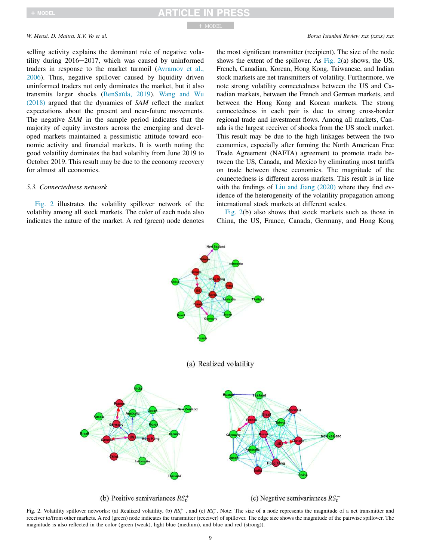selling activity explains the dominant role of negative volatility during  $2016-2017$ , which was caused by uninformed traders in response to the market turmoil (Avramov et al., 2006). Thus, negative spillover caused by liquidity driven uninformed traders not only dominates the market, but it also transmits larger shocks (BenSaïda, 2019). Wang and Wu (2018) argued that the dynamics of *SAM* reflect the market expectations about the present and near-future movements. The negative *SAM* in the sample period indicates that the majority of equity investors across the emerging and developed markets maintained a pessimistic attitude toward economic activity and financial markets. It is worth noting the good volatility dominates the bad volatility from June 2019 to October 2019. This result may be due to the economy recovery for almost all economies.

### *5.3. Connectedness network*

Fig. 2 illustrates the volatility spillover network of the volatility among all stock markets. The color of each node also indicates the nature of the market. A red (green) node denotes

the most significant transmitter (recipient). The size of the node shows the extent of the spillover. As Fig.  $2(a)$  shows, the US, French, Canadian, Korean, Hong Kong, Taiwanese, and Indian stock markets are net transmitters of volatility. Furthermore, we note strong volatility connectedness between the US and Canadian markets, between the French and German markets, and between the Hong Kong and Korean markets. The strong connectedness in each pair is due to strong cross-border regional trade and investment flows. Among all markets, Canada is the largest receiver of shocks from the US stock market. This result may be due to the high linkages between the two economies, especially after forming the North American Free Trade Agreement (NAFTA) agreement to promote trade between the US, Canada, and Mexico by eliminating most tariffs on trade between these economies. The magnitude of the connectedness is different across markets. This result is in line with the findings of Liu and Jiang (2020) where they find evidence of the heterogeneity of the volatility propagation among international stock markets at different scales.

Fig. 2(b) also shows that stock markets such as those in China, the US, France, Canada, Germany, and Hong Kong



Fig. 2. Volatility spillover networks: (a) Realized volatility, (b)  $RS_t^+$ , and (c)  $RS_t^-$ . Note: The size of a node represents the magnitude of a net transmitter and receiver to/from other markets. A red (green) node indicates the transmitter (receiver) of spillover. The edge size shows the magnitude of the pairwise spillover. The magnitude is also reflected in the color (green (weak), light blue (medium), and blue and red (strong)).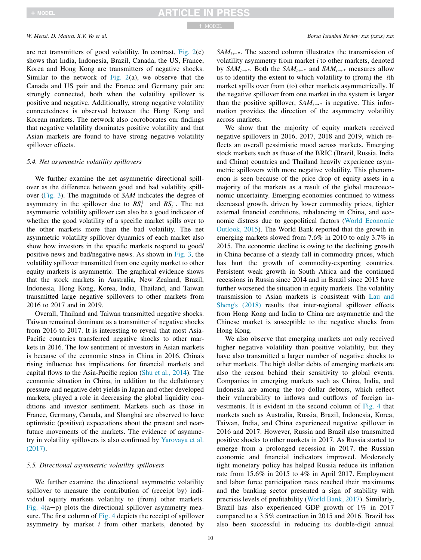are net transmitters of good volatility. In contrast, Fig. 2(c) shows that India, Indonesia, Brazil, Canada, the US, France, Korea and Hong Kong are transmitters of negative shocks. Similar to the network of Fig.  $2(a)$ , we observe that the Canada and US pair and the France and Germany pair are strongly connected, both when the volatility spillover is positive and negative. Additionally, strong negative volatility connectedness is observed between the Hong Kong and Korean markets. The network also corroborates our findings that negative volatility dominates positive volatility and that Asian markets are found to have strong negative volatility spillover effects.

### *5.4. Net asymmetric volatility spillovers*

We further examine the net asymmetric directional spillover as the difference between good and bad volatility spillover (Fig. 3). The magnitude of *SAM* indicates the degree of asymmetry in the spillover due to  $RS_t^+$  and  $RS_t^-$ . The net asymmetric volatility spillover can also be a good indicator of whether the good volatility of a specific market spills over to the other markets more than the bad volatility. The net asymmetric volatility spillover dynamics of each market also show how investors in the specific markets respond to good/ positive news and bad/negative news. As shown in Fig. 3, the volatility spillover transmitted from one equity market to other equity markets is asymmetric. The graphical evidence shows that the stock markets in Australia, New Zealand, Brazil, Indonesia, Hong Kong, Korea, India, Thailand, and Taiwan transmitted large negative spillovers to other markets from 2016 to 2017 and in 2019.

Overall, Thailand and Taiwan transmitted negative shocks. Taiwan remained dominant as a transmitter of negative shocks from 2016 to 2017. It is interesting to reveal that most Asia-Pacific countries transferred negative shocks to other markets in 2016. The low sentiment of investors in Asian markets is because of the economic stress in China in 2016. China's rising influence has implications for financial markets and capital flows to the Asia-Pacific region (Shu et al., 2014). The economic situation in China, in addition to the deflationary pressure and negative debt yields in Japan and other developed markets, played a role in decreasing the global liquidity conditions and investor sentiment. Markets such as those in France, Germany, Canada, and Shanghai are observed to have optimistic (positive) expectations about the present and nearfuture movements of the markets. The evidence of asymmetry in volatility spillovers is also confirmed by Yarovaya et al. (2017).

### *5.5. Directional asymmetric volatility spillovers*

We further examine the directional asymmetric volatility spillover to measure the contribution of (receipt by) individual equity markets volatility to (from) other markets. Fig.  $4(a-p)$  plots the directional spillover asymmetry measure. The first column of Fig. 4 depicts the receipt of spillover asymmetry by market *i* from other markets, denoted by

 $SAM_{i\leftarrow *}$ . The second column illustrates the transmission of volatility asymmetry from market *i* to other markets, denoted by *SAM*<sub>*i*</sub> $\rightarrow$ \*. Both the *SAM*<sub>*i*</sub> $\leftarrow$ \* and *SAM*<sub>*i*</sub> $\rightarrow$ \* measures allow us to identify the extent to which volatility to (from) the *i*th market spills over from (to) other markets asymmetrically. If the negative spillover from one market in the system is larger than the positive spillover,  $SAM_{i\rightarrow *}$  is negative. This information provides the direction of the asymmetry volatility across markets.

We show that the majority of equity markets received negative spillovers in 2016, 2017, 2018 and 2019, which reflects an overall pessimistic mood across markets. Emerging stock markets such as those of the BRIC (Brazil, Russia, India and China) countries and Thailand heavily experience asymmetric spillovers with more negative volatility. This phenomenon is seen because of the price drop of equity assets in a majority of the markets as a result of the global macroeconomic uncertainty. Emerging economies continued to witness decreased growth, driven by lower commodity prices, tighter external financial conditions, rebalancing in China, and economic distress due to geopolitical factors (World Economic Outlook, 2015). The World Bank reported that the growth in emerging markets slowed from 7.6% in 2010 to only 3.7% in 2015. The economic decline is owing to the declining growth in China because of a steady fall in commodity prices, which has hurt the growth of commodity-exporting countries. Persistent weak growth in South Africa and the continued recessions in Russia since 2014 and in Brazil since 2015 have further worsened the situation in equity markets. The volatility transmission to Asian markets is consistent with Lau and Sheng's (2018) results that inter-regional spillover effects from Hong Kong and India to China are asymmetric and the Chinese market is susceptible to the negative shocks from Hong Kong.

We also observe that emerging markets not only received higher negative volatility than positive volatility, but they have also transmitted a larger number of negative shocks to other markets. The high dollar debts of emerging markets are also the reason behind their sensitivity to global events. Companies in emerging markets such as China, India, and Indonesia are among the top dollar debtors, which reflect their vulnerability to inflows and outflows of foreign investments. It is evident in the second column of Fig. 4 that markets such as Australia, Russia, Brazil, Indonesia, Korea, Taiwan, India, and China experienced negative spillover in 2016 and 2017. However, Russia and Brazil also transmitted positive shocks to other markets in 2017. As Russia started to emerge from a prolonged recession in 2017, the Russian economic and financial indicators improved. Moderately tight monetary policy has helped Russia reduce its inflation rate from 15.6% in 2015 to 4% in April 2017. Employment and labor force participation rates reached their maximums and the banking sector presented a sign of stability with precrisis levels of profitability (World Bank, 2017). Similarly, Brazil has also experienced GDP growth of 1% in 2017 compared to a 3.5% contraction in 2015 and 2016. Brazil has also been successful in reducing its double-digit annual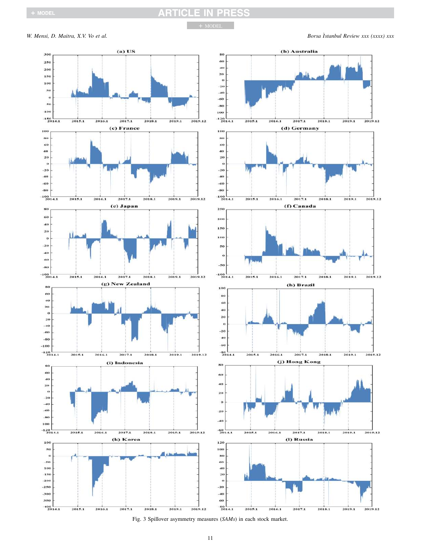# **ARTICLE IN PRESS**

+ MODEL

*W. Mensi, D. Maitra, X.V. Vo et al. Borsa istanbul Review xxx (xxxx) xxx* 



Fig. 3 Spillover asymmetry measures (*SAMs*) in each stock market.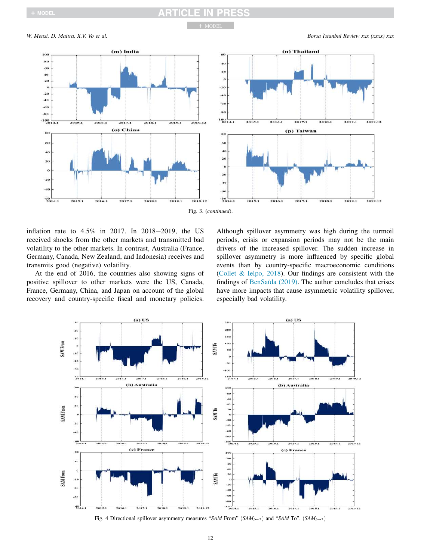### RT IN PRESS CL.

+ MODEL

*W. Mensi, D. Maitra, X.V. Vo et al. Borsa istanbul Review xxx (xxxx) xxx* (xxxx) *xxx* (xxxx) *xxx* (xxxx) *xxx* (xxxx) *xxx* (xxxx) *xxx* (xxxx) *xxx* (xxxx) *xxx* (xxxx) *xxx* (xxxx) *xxx* (xxxx) *xxx* (xxxx) *xxx* (x





inflation rate to  $4.5\%$  in 2017. In 2018-2019, the US received shocks from the other markets and transmitted bad volatility to the other markets. In contrast, Australia (France, Germany, Canada, New Zealand, and Indonesia) receives and transmits good (negative) volatility.

At the end of 2016, the countries also showing signs of positive spillover to other markets were the US, Canada, France, Germany, China, and Japan on account of the global recovery and country-specific fiscal and monetary policies.

Although spillover asymmetry was high during the turmoil periods, crisis or expansion periods may not be the main drivers of the increased spillover. The sudden increase in spillover asymmetry is more influenced by specific global events than by country-specific macroeconomic conditions (Collet & Ielpo, 2018). Our findings are consistent with the findings of BenSaïda (2019). The author concludes that crises have more impacts that cause asymmetric volatility spillover, especially bad volatility.



Fig. 4 Directional spillover asymmetry measures "*SAM* From"  $(SAM_{i\leftarrow\ast})$  and "*SAM* To".  $(SAM_{i\rightarrow\ast})$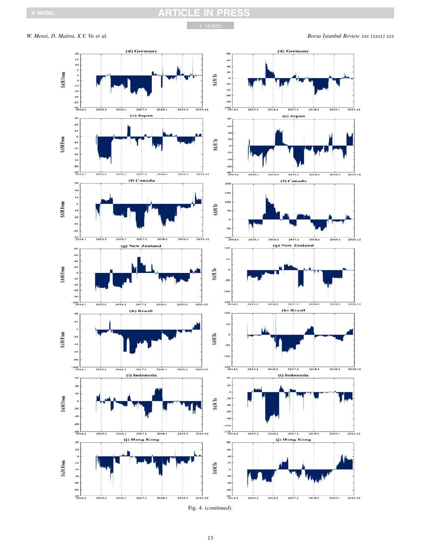## **ARTICLE IN PRESS**

+ MODEL

*W. Mensi, D. Maitra, X.V. Vo et al. Borsa istanbul Review xxx (xxxx) xxx* 



Fig. 4. (*continued*).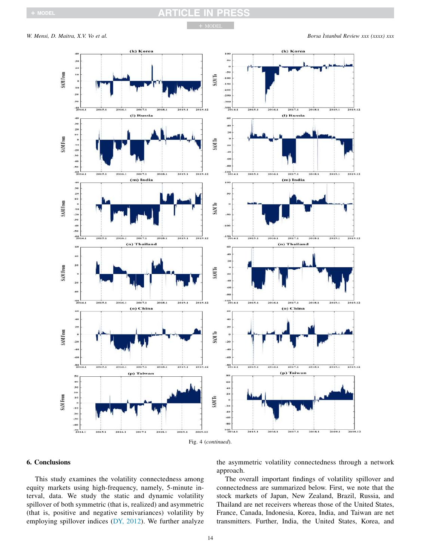## **RTICLE IN PRESS**

+ MODEL

*W. Mensi, D. Maitra, X.V. Vo et al. Borsa Istanbul Review xxx (xxxx) xxx* 



### 6. Conclusions

This study examines the volatility connectedness among equity markets using high-frequency, namely, 5-minute interval, data. We study the static and dynamic volatility spillover of both symmetric (that is, realized) and asymmetric (that is, positive and negative semivariances) volatility by employing spillover indices (DY, 2012). We further analyze

the asymmetric volatility connectedness through a network approach.

The overall important findings of volatility spillover and connectedness are summarized below. First, we note that the stock markets of Japan, New Zealand, Brazil, Russia, and Thailand are net receivers whereas those of the United States, France, Canada, Indonesia, Korea, India, and Taiwan are net transmitters. Further, India, the United States, Korea, and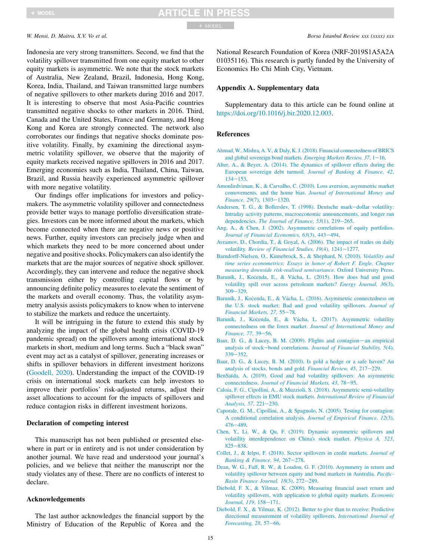Indonesia are very strong transmitters. Second, we find that the volatility spillover transmitted from one equity market to other equity markets is asymmetric. We note that the stock markets of Australia, New Zealand, Brazil, Indonesia, Hong Kong, Korea, India, Thailand, and Taiwan transmitted large numbers of negative spillovers to other markets during 2016 and 2017. It is interesting to observe that most Asia-Pacific countries transmitted negative shocks to other markets in 2016. Third, Canada and the United States, France and Germany, and Hong Kong and Korea are strongly connected. The network also corroborates our findings that negative shocks dominate positive volatility. Finally, by examining the directional asymmetric volatility spillover, we observe that the majority of equity markets received negative spillovers in 2016 and 2017. Emerging economies such as India, Thailand, China, Taiwan, Brazil, and Russia heavily experienced asymmetric spillover with more negative volatility.

Our findings offer implications for investors and policymakers. The asymmetric volatility spillover and connectedness provide better ways to manage portfolio diversification strategies. Investors can be more informed about the markets, which become connected when there are negative news or positive news. Further, equity investors can precisely judge when and which markets they need to be more concerned about under negative and positive shocks. Policymakers can also identify the markets that are the major sources of negative shock spillover. Accordingly, they can intervene and reduce the negative shock transmission either by controlling capital flows or by announcing definite policy measures to elevate the sentiment of the markets and overall economy. Thus, the volatility asymmetry analysis assists policymakers to know when to intervene to stabilize the markets and reduce the uncertainty.

It will be intriguing in the future to extend this study by analyzing the impact of the global health crisis (COVID-19 pandemic spread) on the spillovers among international stock markets in short, medium and long terms. Such a "black swan" event may act as a catalyst of spillover, generating increases or shifts in spillover behaviors in different investment horizons (Goodell, 2020). Understanding the impact of the COVID-19 crisis on international stock markets can help investors to improve their portfolios' risk-adjusted returns, adjust their asset allocations to account for the impacts of spillovers and reduce contagion risks in different investment horizons.

### Declaration of competing interest

This manuscript has not been published or presented elsewhere in part or in entirety and is not under consideration by another journal. We have read and understood your journal's policies, and we believe that neither the manuscript nor the study violates any of these. There are no conflicts of interest to declare.

### Acknowledgements

The last author acknowledges the financial support by the Ministry of Education of the Republic of Korea and the

National Research Foundation of Korea (NRF-2019S1A5A2A 01035116). This research is partly funded by the University of Economics Ho Chi Minh City, Vietnam.

### Appendix A. Supplementary data

Supplementary data to this article can be found online at https://doi.org/10.1016/j.bir.2020.12.003.

### References

- Ahmad,W., Mishra, A. V., & Daly, K. J. (2018). Financial connectedness of BRICS and global sovereign bond markets. *Emerging Markets Review, 37*, 1-16.
- Alter, A., & Beyer, A. (2014). The dynamics of spillover effects during the European sovereign debt turmoil. *Journal of Banking* & *Finance, 42*,  $134 - 153$ .
- Amonlirdviman, K., & Carvalho, C. (2010). Loss aversion, asymmetric market comovements, and the home bias. *Journal of International Money and Finance*, 29(7), 1303-1320.
- Andersen, T. G., & Bollerslev, T. (1998). Deutsche mark-dollar volatility: Intraday activity patterns, macroeconomic announcements, and longer run dependencies. *The Journal of Finance*, 53(1), 219-265.
- Ang, A., & Chen, J. (2002). Asymmetric correlations of equity portfolios. *Journal of Financial Economics, 63(3), 443-494.*
- Avramov, D., Chordia, T., & Goyal, A. (2006). The impact of trades on daily volatility. *Review of Financial Studies*, 19(4), 1241-1277.
- Barndorff-Nielsen, O., Kinnebrock, S., & Shephard, N. (2010). *Volatility and time series econometrics: Essays in honor of Robert F. Engle, Chapter measuring downside risk-realised semivariance*. Oxford University Press.
- Baruník, J., Kočenda, E., & Vácha, L. (2015). How does bad and good volatility spill over across petroleum markets? *Energy Journal, 36*(3),  $309 - 329$ .
- Baruník, J., Kočenda, E., & Vácha, L. (2016). Asymmetric connectedness on the U.S. stock market: Bad and good volatility spillovers. *Journal of Financial Markets, 27, 55-78.*
- Baruník, J., Kočenda, E., & Vácha, L. (2017). Asymmetric volatility connectedness on the forex market. *Journal of International Money and Finance*, 77, 39-56.
- Baur, D. G., & Lucey, B. M. (2009). Flights and contagion-an empirical analysis of stock-bond correlations. *Journal of Financial Stability, 5*(4),  $339 - 352$ .
- Baur, D. G., & Lucey, B. M. (2010). Is gold a hedge or a safe haven? An analysis of stocks, bonds and gold. *Financial Review, 45*, 217-229.
- BenSaïda, A. (2019). Good and bad volatility spillovers: An asymmetric connectedness. *Journal of Financial Markets, 43, 78-95.*
- Caloia, F. G., Cipollini, A., & Muzzioli, S. (2018). Asymmetric semi-volatility spillover effects in EMU stock markets. *International Review of Financial Analysis, 57, 221-230.*
- Caporale, G. M., Cipollini, A., & Spagnolo, N. (2005). Testing for contagion: A conditional correlation analysis. *Journal of Empirical Finance, 12*(3),  $476 - 489.$
- Chen, Y., Li, W., & Qu, F. (2019). Dynamic asymmetric spillovers and volatility interdependence on China's stock market. *Physica A, 523*,  $825 - 838.$
- Collet, J., & Ielpo, F. (2018). Sector spillovers in credit markets. *Journal of Banking & Finance*, 94, 267-278.
- Dean, W. G., Faff, R. W., & Loudon, G. F. (2010). Asymmetry in return and volatility spillover between equity and bond markets in Australia. *Pacific-Basin Finance Journal, 18(3), 272-289.*
- Diebold, F. X., & Yilmaz, K. (2009). Measuring financial asset return and volatility spillovers, with application to global equity markets. *Economic Journal, 119, 158-171.*
- Diebold, F. X., & Yilmaz, K. (2012). Better to give than to receive: Predictive directional measurement of volatility spillovers. *International Journal of Forecasting, 28, 57-66.*